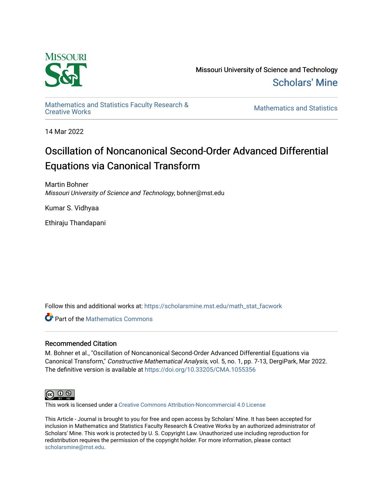

Missouri University of Science and Technology [Scholars' Mine](https://scholarsmine.mst.edu/) 

[Mathematics and Statistics Faculty Research &](https://scholarsmine.mst.edu/math_stat_facwork) 

**Mathematics and Statistics** 

14 Mar 2022

# Oscillation of Noncanonical Second-Order Advanced Differential Equations via Canonical Transform

Martin Bohner Missouri University of Science and Technology, bohner@mst.edu

Kumar S. Vidhyaa

Ethiraju Thandapani

Follow this and additional works at: [https://scholarsmine.mst.edu/math\\_stat\\_facwork](https://scholarsmine.mst.edu/math_stat_facwork?utm_source=scholarsmine.mst.edu%2Fmath_stat_facwork%2F1106&utm_medium=PDF&utm_campaign=PDFCoverPages)

**Part of the [Mathematics Commons](http://network.bepress.com/hgg/discipline/174?utm_source=scholarsmine.mst.edu%2Fmath_stat_facwork%2F1106&utm_medium=PDF&utm_campaign=PDFCoverPages)** 

# Recommended Citation

M. Bohner et al., "Oscillation of Noncanonical Second-Order Advanced Differential Equations via Canonical Transform," Constructive Mathematical Analysis, vol. 5, no. 1, pp. 7-13, DergiPark, Mar 2022. The definitive version is available at <https://doi.org/10.33205/CMA.1055356>



This work is licensed under a [Creative Commons Attribution-Noncommercial 4.0 License](https://creativecommons.org/licenses/by-nc/4.0/) 

This Article - Journal is brought to you for free and open access by Scholars' Mine. It has been accepted for inclusion in Mathematics and Statistics Faculty Research & Creative Works by an authorized administrator of Scholars' Mine. This work is protected by U. S. Copyright Law. Unauthorized use including reproduction for redistribution requires the permission of the copyright holder. For more information, please contact [scholarsmine@mst.edu.](mailto:scholarsmine@mst.edu)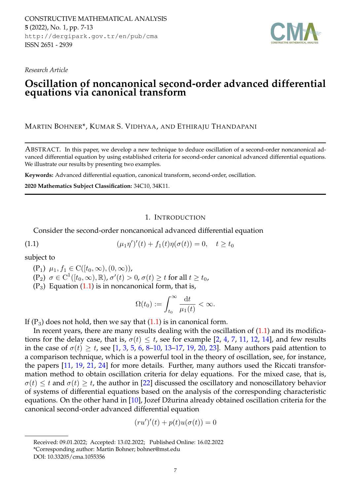CONSTRUCTIVE MATHEMATICAL ANALYSIS **5** (2022), No. 1, pp. 7-13 http://dergipark.gov.tr/en/pub/cma ISSN 2651 - 2939



*Research Article*

# **Oscillation of noncanonical second-order advanced differential equations via canonical transform**

MARTIN BOHNER\*, KUMAR S. VIDHYAA, AND ETHIRAJU THANDAPANI

ABSTRACT. In this paper, we develop a new technique to deduce oscillation of a second-order noncanonical advanced differential equation by using established criteria for second-order canonical advanced differential equations. We illustrate our results by presenting two examples.

**Keywords:** Advanced differential equation, canonical transform, second-order, oscillation.

**2020 Mathematics Subject Classification:** 34C10, 34K11.

# <span id="page-1-0"></span>1. INTRODUCTION

Consider the second-order noncanonical advanced differential equation

(1.1) 
$$
(\mu_1 \eta')'(t) + f_1(t) \eta(\sigma(t)) = 0, \quad t \ge t_0
$$

subject to

$$
(P_1) \mu_1, f_1 \in C([t_0, \infty), (0, \infty)),
$$

- $(\mathrm{P}_2)$   $\sigma\in\mathrm{C}^1([t_0,\infty),\mathbb{R})$ ,  $\sigma'(t)>0$ ,  $\sigma(t)\geq t$  for all  $t\geq t_0$ ,
- $(P_3)$  Equation  $(1.1)$  is in noncanonical form, that is,

$$
\Omega(t_0) := \int_{t_0}^{\infty} \frac{\mathrm{d}t}{\mu_1(t)} < \infty.
$$

If  $(P_3)$  does not hold, then we say that  $(1.1)$  is in canonical form.

In recent years, there are many results dealing with the oscillation of  $(1.1)$  and its modifications for the delay case, that is,  $\sigma(t) \leq t$ , see for example [\[2,](#page-6-0) [4,](#page-6-1) [7,](#page-6-2) [11,](#page-6-3) [12,](#page-6-4) [14\]](#page-6-5), and few results in the case of  $\sigma(t) \geq t$ , see [\[1,](#page-6-6) [3,](#page-6-7) [5,](#page-6-8) [6,](#page-6-9) [8](#page-6-10)[–10,](#page-6-11) [13–](#page-6-12)[17,](#page-6-13) [19,](#page-7-0) [20,](#page-7-1) [23\]](#page-7-2). Many authors paid attention to a comparison technique, which is a powerful tool in the theory of oscillation, see, for instance, the papers [\[11,](#page-6-3) [19,](#page-7-0) [21,](#page-7-3) [24\]](#page-7-4) for more details. Further, many authors used the Riccati transformation method to obtain oscillation criteria for delay equations. For the mixed case, that is,  $\sigma(t) \leq t$  and  $\sigma(t) \geq t$ , the author in [\[22\]](#page-7-5) discussed the oscillatory and nonoscillatory behavior of systems of differential equations based on the analysis of the corresponding characteristic equations. On the other hand in [\[10\]](#page-6-11), Jozef Džurina already obtained oscillation criteria for the canonical second-order advanced differential equation

$$
(ru')'(t) + p(t)u(\sigma(t)) = 0
$$

Received: 09.01.2022; Accepted: 13.02.2022; Published Online: 16.02.2022

<sup>\*</sup>Corresponding author: Martin Bohner; bohner@mst.edu

DOI: 10.33205/cma.1055356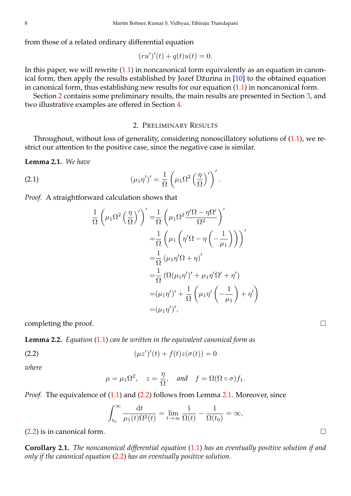from those of a related ordinary differential equation

$$
(ru')'(t) + q(t)u(t) = 0.
$$

In this paper, we will rewrite  $(1.1)$  in noncanonical form equivalently as an equation in canonical form, then apply the results established by Jozef Džurina in [\[10\]](#page-6-11) to the obtained equation in canonical form, thus establishing new results for our equation [\(1.1\)](#page-1-0) in noncanonical form.

Section [2](#page-2-0) contains some preliminary results, the main results are presented in Section [3,](#page-3-0) and two illustrative examples are offered in Section [4.](#page-5-0)

## 2. PRELIMINARY RESULTS

<span id="page-2-0"></span>Throughout, without loss of generality, considering nonoscillatory solutions of [\(1.1\)](#page-1-0), we restrict our attention to the positive case, since the negative case is similar.

<span id="page-2-2"></span>**Lemma 2.1.** *We have*

(2.1) 
$$
(\mu_1 \eta')' = \frac{1}{\Omega} \left( \mu_1 \Omega^2 \left( \frac{\eta}{\Omega} \right)' \right)'.
$$

*Proof.* A straightforward calculation shows that

$$
\frac{1}{\Omega} \left( \mu_1 \Omega^2 \left( \frac{\eta}{\Omega} \right)' \right)' = \frac{1}{\Omega} \left( \mu_1 \Omega^2 \frac{\eta' \Omega - \eta \Omega'}{\Omega^2} \right)'
$$
  
\n
$$
= \frac{1}{\Omega} \left( \mu_1 \left( \eta' \Omega - \eta \left( -\frac{1}{\mu_1} \right) \right) \right)'
$$
  
\n
$$
= \frac{1}{\Omega} \left( \mu_1 \eta' \Omega + \eta \right)'
$$
  
\n
$$
= \frac{1}{\Omega} \left( \Omega(\mu_1 \eta')' + \mu_1 \eta' \Omega' + \eta' \right)
$$
  
\n
$$
= (\mu_1 \eta')' + \frac{1}{\Omega} \left( \mu_1 \eta' \left( -\frac{1}{\mu_1} \right) + \eta' \right)
$$
  
\n
$$
= (\mu_1 \eta')',
$$

completing the proof.

<span id="page-2-4"></span>**Lemma 2.2.** *Equation* [\(1.1\)](#page-1-0) *can be written in the equivalent canonical form as*

(2.2) 
$$
(\mu z')'(t) + f(t)z(\sigma(t)) = 0
$$

*where*

<span id="page-2-1"></span>
$$
\mu = \mu_1 \Omega^2
$$
,  $z = \frac{\eta}{\Omega}$ , and  $f = \Omega(\Omega \circ \sigma) f_1$ .

*Proof.* The equivalence of [\(1.1\)](#page-1-0) and [\(2.2\)](#page-2-1) follows from Lemma [2.1.](#page-2-2) Moreover, since

$$
\int_{t_0}^{\infty} \frac{\mathrm{d}t}{\mu_1(t)\Omega^2(t)} = \lim_{t \to \infty} \frac{1}{\Omega(t)} - \frac{1}{\Omega(t_0)} = \infty,
$$

 $(2.2)$  is in canonical form.

<span id="page-2-3"></span>**Corollary 2.1.** *The noncanonical differential equation* [\(1.1\)](#page-1-0) *has an eventually positive solution if and only if the canonical equation* [\(2.2\)](#page-2-1) *has an eventually positive solution.*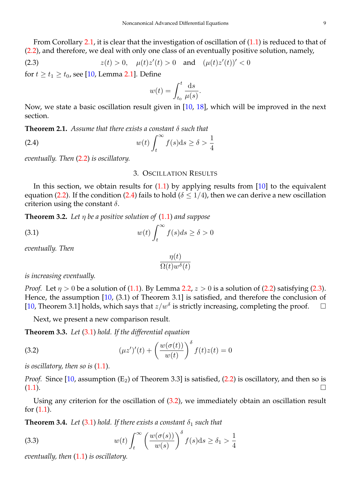From Corollary [2.1,](#page-2-3) it is clear that the investigation of oscillation of [\(1.1\)](#page-1-0) is reduced to that of [\(2.2\)](#page-2-1), and therefore, we deal with only one class of an eventually positive solution, namely,

(2.3) 
$$
z(t) > 0
$$
,  $\mu(t)z'(t) > 0$  and  $(\mu(t)z'(t))' < 0$ 

for  $t \ge t_1 \ge t_0$ , see [\[10,](#page-6-11) Lemma [2.1\]](#page-2-2). Define

<span id="page-3-2"></span>
$$
w(t) = \int_{t_0}^t \frac{\mathrm{d}s}{\mu(s)}.
$$

Now, we state a basic oscillation result given in [\[10,](#page-6-11) [18\]](#page-6-14), which will be improved in the next section.

**Theorem 2.1.** *Assume that there exists a constant* δ *such that*

(2.4) 
$$
w(t) \int_t^{\infty} f(s) \mathrm{d} s \geq \delta > \frac{1}{4}
$$

<span id="page-3-0"></span>*eventually. Then* [\(2.2\)](#page-2-1) *is oscillatory.*

#### <span id="page-3-1"></span>3. OSCILLATION RESULTS

In this section, we obtain results for  $(1.1)$  by applying results from  $[10]$  to the equivalent equation [\(2.2\)](#page-2-1). If the condition [\(2.4\)](#page-3-1) fails to hold ( $\delta \leq 1/4$ ), then we can derive a new oscillation criterion using the constant  $\delta$ .

**Theorem 3.2.** Let  $\eta$  be a positive solution of  $(1.1)$  and suppose

(3.1) 
$$
w(t) \int_{t}^{\infty} f(s)ds \geq \delta > 0
$$

*eventually. Then*

<span id="page-3-3"></span>
$$
\frac{\eta(t)}{\Omega(t)w^{\delta}(t)}
$$

*is increasing eventually.*

*Proof.* Let  $\eta > 0$  be a solution of [\(1.1\)](#page-1-0). By Lemma [2.2,](#page-2-4)  $z > 0$  is a solution of [\(2.2\)](#page-2-1) satisfying [\(2.3\)](#page-3-2). Hence, the assumption [\[10,](#page-6-11) (3.1) of Theorem 3.1] is satisfied, and therefore the conclusion of [\[10,](#page-6-11) Theorem 3.1] holds, which says that  $z/w^{\delta}$  is strictly increasing, completing the proof.  $\square$ 

<span id="page-3-4"></span>Next, we present a new comparison result.

**Theorem 3.3.** *Let* [\(3.1\)](#page-3-3) *hold. If the differential equation*

(3.2) 
$$
(\mu z')'(t) + \left(\frac{w(\sigma(t))}{w(t)}\right)^{\delta} f(t)z(t) = 0
$$

*is oscillatory, then so is* [\(1.1\)](#page-1-0)*.*

*Proof.* Since  $[10,$  assumption  $(E_2)$  of Theorem 3.3] is satisfied,  $(2.2)$  is oscillatory, and then so is  $(1.1)$ .

Using any criterion for the oscillation of [\(3.2\)](#page-3-4), we immediately obtain an oscillation result for [\(1.1\)](#page-1-0).

<span id="page-3-6"></span>**Theorem 3.4.** *Let* [\(3.1\)](#page-3-3) *hold. If there exists a constant*  $\delta_1$  *such that* 

<span id="page-3-5"></span>(3.3) 
$$
w(t) \int_{t}^{\infty} \left(\frac{w(\sigma(s))}{w(s)}\right)^{\delta} f(s) ds \geq \delta_1 > \frac{1}{4}
$$

*eventually, then* [\(1.1\)](#page-1-0) *is oscillatory.*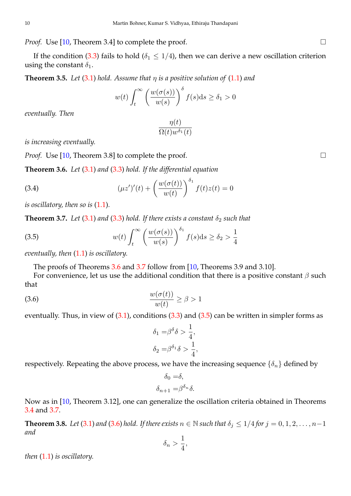*Proof.* Use [\[10,](#page-6-11) Theorem 3.4] to complete the proof. □

If the condition [\(3.3\)](#page-3-5) fails to hold ( $\delta_1 \leq 1/4$ ), then we can derive a new oscillation criterion using the constant  $\delta_1$ .

**Theorem 3.5.** *Let* [\(3.1\)](#page-3-3) *hold.* Assume that  $\eta$  *is a positive solution of* [\(1.1\)](#page-1-0) *and* 

$$
w(t)\int_{t}^{\infty} \left(\frac{w(\sigma(s))}{w(s)}\right)^{\delta} f(s)ds \geq \delta_1 > 0
$$

*eventually. Then*

$$
\frac{\eta(t)}{\Omega(t)w^{\delta_1}(t)}
$$

*is increasing eventually.*

*Proof.* Use [\[10,](#page-6-11) Theorem 3.8] to complete the proof. □

<span id="page-4-0"></span>**Theorem 3.6.** *Let* [\(3.1\)](#page-3-3) *and* [\(3.3\)](#page-3-5) *hold. If the differential equation*

(3.4) 
$$
(\mu z')'(t) + \left(\frac{w(\sigma(t))}{w(t)}\right)^{\delta_1} f(t)z(t) = 0
$$

*is oscillatory, then so is* [\(1.1\)](#page-1-0)*.*

<span id="page-4-1"></span>**Theorem 3.7.** *Let* [\(3.1\)](#page-3-3) *and* [\(3.3\)](#page-3-5) *hold. If there exists a constant*  $\delta_2$  *such that* 

(3.5) 
$$
w(t) \int_{t}^{\infty} \left(\frac{w(\sigma(s))}{w(s)}\right)^{\delta_1} f(s) ds \geq \delta_2 > \frac{1}{4}
$$

*eventually, then* [\(1.1\)](#page-1-0) *is oscillatory.*

<span id="page-4-2"></span>The proofs of Theorems [3.6](#page-4-0) and [3.7](#page-4-1) follow from [\[10,](#page-6-11) Theorems 3.9 and 3.10].

For convenience, let us use the additional condition that there is a positive constant  $\beta$  such that

(3.6) <sup>w</sup>(σ(t)) w(t) ≥ β > 1

eventually. Thus, in view of [\(3.1\)](#page-3-3), conditions [\(3.3\)](#page-3-5) and [\(3.5\)](#page-4-2) can be written in simpler forms as

<span id="page-4-3"></span>
$$
\delta_1 = \beta^{\delta} \delta > \frac{1}{4},
$$
  

$$
\delta_2 = \beta^{\delta_1} \delta > \frac{1}{4},
$$

respectively. Repeating the above process, we have the increasing sequence  $\{\delta_n\}$  defined by

$$
\delta_0 = \delta,
$$
  

$$
\delta_{n+1} = \beta^{\delta_n} \delta.
$$

Now as in [\[10,](#page-6-11) Theorem 3.12], one can generalize the oscillation criteria obtained in Theorems [3.4](#page-3-6) and [3.7.](#page-4-1)

<span id="page-4-4"></span>**Theorem 3.8.** *Let* [\(3.1\)](#page-3-3) *and* [\(3.6\)](#page-4-3) *hold. If there exists*  $n \in \mathbb{N}$  *such that*  $\delta_j \leq 1/4$  *for*  $j = 0, 1, 2, \ldots, n-1$ *and*

$$
\delta_n > \frac{1}{4},
$$

*then* [\(1.1\)](#page-1-0) *is oscillatory.*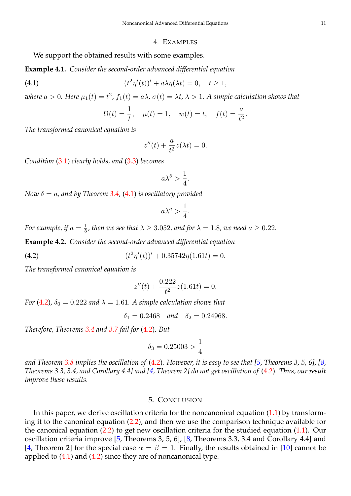#### 4. EXAMPLES

<span id="page-5-0"></span>We support the obtained results with some examples.

**Example 4.1.** *Consider the second-order advanced differential equation*

(4.1) 
$$
(t^2\eta'(t))' + a\lambda\eta(\lambda t) = 0, \quad t \ge 1,
$$

where  $a > 0$ . Here  $\mu_1(t) = t^2$ ,  $f_1(t) = a\lambda$ ,  $\sigma(t) = \lambda t$ ,  $\lambda > 1$ . A simple calculation shows that

<span id="page-5-1"></span>
$$
\Omega(t) = \frac{1}{t}, \quad \mu(t) = 1, \quad w(t) = t, \quad f(t) = \frac{a}{t^2}.
$$

*The transformed canonical equation is*

$$
z''(t) + \frac{a}{t^2}z(\lambda t) = 0.
$$

*Condition* [\(3.1\)](#page-3-3) *clearly holds, and* [\(3.3\)](#page-3-5) *becomes*

$$
a\lambda^{\delta} > \frac{1}{4}.
$$

*Now*  $\delta = a$ , and by Theorem [3.4,](#page-3-6) [\(4.1\)](#page-5-1) *is oscillatory provided* 

$$
a\lambda^a > \frac{1}{4}.
$$

*For example, if*  $a = \frac{1}{5}$ *, then we see that*  $\lambda \geq 3.052$ *, and for*  $\lambda = 1.8$ *, we need*  $a \geq 0.22$ *.* 

**Example 4.2.** *Consider the second-order advanced differential equation*

(4.2) 
$$
(t^2 \eta'(t))' + 0.35742 \eta(1.61t) = 0.
$$

*The transformed canonical equation is*

<span id="page-5-2"></span>
$$
z''(t) + \frac{0.222}{t^2}z(1.61t) = 0.
$$

*For* [\(4.2\)](#page-5-2),  $\delta_0 = 0.222$  *and*  $\lambda = 1.61$ *. A simple calculation shows that* 

 $\delta_1 = 0.2468$  *and*  $\delta_2 = 0.24968$ .

*Therefore, Theorems [3.4](#page-3-6) and [3.7](#page-4-1) fail for* [\(4.2\)](#page-5-2)*. But*

$$
\delta_3 = 0.25003 > \frac{1}{4}
$$

*and Theorem [3.8](#page-4-4) implies the oscillation of* [\(4.2\)](#page-5-2)*. However, it is easy to see that [\[5,](#page-6-8) Theorems 3, 5, 6], [\[8,](#page-6-10) Theorems 3.3, 3.4, and Corollary 4.4] and [\[4,](#page-6-1) Theorem 2] do not get oscillation of* [\(4.2\)](#page-5-2)*. Thus, our result improve these results.*

#### 5. CONCLUSION

In this paper, we derive oscillation criteria for the noncanonical equation  $(1.1)$  by transforming it to the canonical equation [\(2.2\)](#page-2-1), and then we use the comparison technique available for the canonical equation [\(2.2\)](#page-2-1) to get new oscillation criteria for the studied equation [\(1.1\)](#page-1-0). Our oscillation criteria improve [\[5,](#page-6-8) Theorems 3, 5, 6], [\[8,](#page-6-10) Theorems 3.3, 3.4 and Corollary 4.4] and [\[4,](#page-6-1) Theorem 2] for the special case  $\alpha = \beta = 1$ . Finally, the results obtained in [\[10\]](#page-6-11) cannot be applied to  $(4.1)$  and  $(4.2)$  since they are of noncanonical type.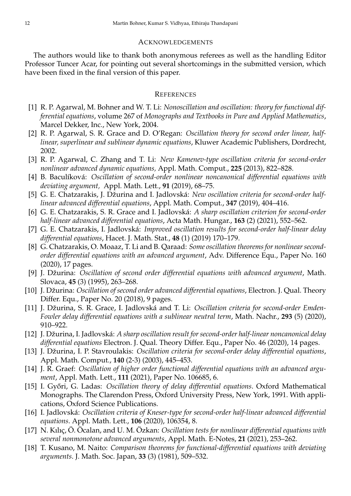## **ACKNOWLEDGEMENTS**

The authors would like to thank both anonymous referees as well as the handling Editor Professor Tuncer Acar, for pointing out several shortcomings in the submitted version, which have been fixed in the final version of this paper.

# **REFERENCES**

- <span id="page-6-6"></span>[1] R. P. Agarwal, M. Bohner and W. T. Li: *Nonoscillation and oscillation: theory for functional differential equations*, volume 267 of *Monographs and Textbooks in Pure and Applied Mathematics*, Marcel Dekker, Inc., New York, 2004.
- <span id="page-6-0"></span>[2] R. P. Agarwal, S. R. Grace and D. O'Regan: *Oscillation theory for second order linear, halflinear, superlinear and sublinear dynamic equations*, Kluwer Academic Publishers, Dordrecht, 2002.
- <span id="page-6-7"></span>[3] R. P. Agarwal, C. Zhang and T. Li: *New Kamenev-type oscillation criteria for second-order nonlinear advanced dynamic equations,* Appl. Math. Comput., **225** (2013), 822–828.
- <span id="page-6-1"></span>[4] B. Baculíková: *Oscillation of second-order nonlinear noncanonical differential equations with deviating argument,* Appl. Math. Lett., **91** (2019), 68–75.
- <span id="page-6-8"></span>[5] G. E. Chatzarakis, J. Džurina and I. Jadlovská: *New oscillation criteria for second-order halflinear advanced differential equations*, Appl. Math. Comput., **347** (2019), 404–416.
- <span id="page-6-9"></span>[6] G. E. Chatzarakis, S. R. Grace and I. Jadlovská: *A sharp oscillation criterion for second-order half-linear advanced differential equations*, Acta Math. Hungar., **163** (2) (2021), 552–562.
- <span id="page-6-2"></span>[7] G. E. Chatzarakis, I. Jadlovská: *Improved oscillation results for second-order half-linear delay differential equations*, Hacet. J. Math. Stat., **48** (1) (2019) 170–179.
- <span id="page-6-10"></span>[8] G. Chatzarakis, O. Moaaz, T. Li and B. Qaraad: *Some oscillation theorems for nonlinear secondorder differential equations with an advanced argument*, Adv. Difference Equ., Paper No. 160 (2020), 17 pages.
- [9] J. Džurina: *Oscillation of second order differential equations with advanced argument*, Math. Slovaca, **45** (3) (1995), 263–268.
- <span id="page-6-11"></span>[10] J. Džurina: *Oscillation of second order advanced differential equations*, Electron. J. Qual. Theory Differ. Equ., Paper No. 20 (2018), 9 pages.
- <span id="page-6-3"></span>[11] J. Džurina, S. R. Grace, I. Jadlovská and T. Li: *Oscillation criteria for second-order Emden-Fowler delay differential equations with a sublinear neutral term*, Math. Nachr., **293** (5) (2020), 910–922.
- <span id="page-6-4"></span>[12] J. Džurina, I. Jadlovská: *A sharp oscillation result for second-order half-linear noncanonical delay differential equations* Electron. J. Qual. Theory Differ. Equ., Paper No. 46 (2020), 14 pages.
- <span id="page-6-12"></span>[13] J. Džurina, I. P. Stavroulakis: *Oscillation criteria for second-order delay differential equations*, Appl. Math. Comput., **140** (2-3) (2003), 445–453.
- <span id="page-6-5"></span>[14] J. R. Graef: *Oscillation of higher order functional differential equations with an advanced argument*, Appl. Math. Lett., **111** (2021), Paper No. 106685, 6.
- [15] I. Gy˝ori, G. Ladas: *Oscillation theory of delay differential equations*. Oxford Mathematical Monographs. The Clarendon Press, Oxford University Press, New York, 1991. With applications, Oxford Science Publications.
- [16] I. Jadlovská: *Oscillation criteria of Kneser-type for second-order half-linear advanced differential equations*. Appl. Math. Lett., **106** (2020), 106354, 8.
- <span id="page-6-13"></span>[17] N. Kılıç, Ö. Öcalan, and U. M. Özkan: *Oscillation tests for nonlinear differential equations with several nonmonotone advanced arguments*, Appl. Math. E-Notes, **21** (2021), 253–262.
- <span id="page-6-14"></span>[18] T. Kusano, M. Naito: *Comparison theorems for functional-differential equations with deviating arguments*. J. Math. Soc. Japan, **33** (3) (1981), 509–532.